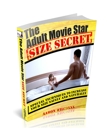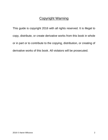## Copyright Warning

This guide is copyright 2016 with all rights reserved. It is illegal to copy, distribute, or create derivative works from this book in whole or in part or to contribute to the copying, distribution, or creating of derivative works of this book. All violators will be prosecuted.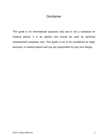## Disclaimer

This guide is for informational purposes only and is not a substitute for medical advice. It is an opinion and should be used for personal entertainment purposes only. This guide is not to be considered as legal, personal, or medical advice and you are responsible for your own doings.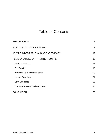# Table of Contents

| <b>INTRODUCTION</b>                       | 5         |
|-------------------------------------------|-----------|
| <b>WHAT IS PENIS ENLARGEMENT?</b>         | 7         |
| WHY PE IS DESIRABLE (AND NOT NECESSARY)   | 12        |
| PENIS ENLARGEMENT TRAINING ROUTINE        | 16        |
| <b>Find Your Focus</b>                    | 16        |
| The Routine                               | 18        |
| Warming-up & Warming-down                 | 20        |
| <b>Length Exercises</b>                   | 21        |
| <b>Girth Exercises</b>                    | 25        |
| <b>Tracking Sheet &amp; Workout Guide</b> | 28        |
| <b>CONCLUSION</b>                         | <u>29</u> |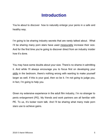# **Introduction**

You're about to discover how to naturally enlarge your penis in a safe and healthy way.

I'm going to be sharing industry secrets that are rarely talked about. What I'll be sharing many porn stars have used measurably increase their size. And for the first time you're going to discover direct from an industry insider how it's done.

You may have some doubts about your size. There's no shame in admitting it. And while I'll always encourage you to focus first on developing your skills in the bedroom, there's nothing wrong with wanting to make yourself larger as well. If this is your goal, then so be it. I'm not going to judge you, in fact, I'm going to help you.

Given my extensive experience in the adult film industry, I'm no stranger to penis enlargement (PE). My friends and work partners are all familiar with PE. To us, it's locker room talk. And I'll be sharing what many male porn stars use to achieve gains.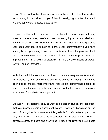Look. I'll cut right to the chase and give you the exact routine that worked for so many in the industry. If you follow it closely, I guarantee that you'll witness some very noticeable size gains.

I'll give you the tools to succeed. Even if it's not the most important thing when it comes to sex, there's no need to feel guilty about your desire of wanting a bigger penis. Perhaps the confidence boost that you get once you reach your goal is enough to improve your performance? If you have limiting beliefs pertaining to your size, making a physical improvement will help you overcome your own hurdles. Since I encourage all forms of improvement, I'm not going to discredit PE if it's a viable means of growth for you (no pun intended).

With that said, I'll make sure to address some necessary concepts as well. For instance: you must know that size on its own is not enough – what you do in bed is infinitely more important. Your sexual performance should be seen as something completely independent, so don't let an obsession over size detract from what's also important.

But again – it's perfectly okay to want to be bigger. But on one condition: that you practice penis enlargement safely. There's a disclaimer on the front of this guide for a reason – this guide is for informational purposes only and is NOT to be used as a substitute for medical advice. While I advocate safety and care and everything I'll teach you revolves around safe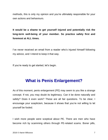methods, this is only my opinion and you're ultimately responsible for your own actions and behaviours.

**It would be a shame to get yourself injured and potentially risk the long-term well-being of your member. So practice safety first and foremost at ALL times.** 

I've never received an email from a reader who's injured himself following my advice, and I intend to keep it that way.

If you're ready to get started, let's begin.

# **What is Penis Enlargement?**

As of this moment, penis enlargement (PE) may seem to you like a strange concept. If not, you may doubt its legitimacy. Can it be done naturally and safely? Does it even work? These are all fair questions. To be clear, I encourage your scepticism, because it shows that you're not willing to let yourself be fooled.

I wish more people were sceptical about PE. There are men who have become rich by scamming others through PE-related scams. Boner pills,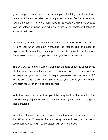growth supplements, certain penis pumps… Anything out there that's related to PE must be taken with a large grain of salt. Don't trust anything you find so easily. There are many gaps in PE research, which are used to take advantage of naïve men who are willing to do whatever it takes to increase their size.

I welcome your doubts. I'm confident that you'll be at ease with the advice I'll give you when you start witnessing the results. But of course to experience these results you must put your scepticism aside and **try it out for yourself**. I encourage you to come to your own conclusions.

The only way to know if PE really works isn't to read about the experiences of other men, and wonder if it's something you should try. Trying out the techniques on your own is the only way to guarantee that you can trust PE to give you the gains you want. So I ask that you reserve your judgement until after you've given it a serious attempt.

With that said, I'm sure that you'll be surprised at the results. The overwhelming majority of men that try PE *correctly* can attest to the gains that it provides.

In addition, there's one principle you must internalize before you do your first PE workout. To ensure that you see growth and that you continue to see progress, you MUST be consistent with your exercises.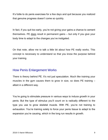It's futile to do penis exercises for a few days and quit because you realized that genuine progress doesn't come so quickly.

In fact, if you quit too early, you're not giving your gains a chance to cement themselves. PE does result in permanent gains – but only if you give your body time to adapt to the changes you've instigated.

On that note, allow me to talk a little bit about how PE really works. This concept is necessary to understand so that you know the purpose behind your training.

#### How Penis Enlargement Works

There is theory behind PE. It's not just speculation. Much like training your muscles in the gym causes them to grow in size, so does PE training – albeit in a different way.

You're going to stimulate pressure in various ways to induce growth in your penis. But the type of stimulus you'll count on is radically different to the type you use to grow skeletal muscle. With PE, you're not training to exhaustion. You're training solely to force your penis tissue to adapt to the expansion you're causing, which in the long run results in growth.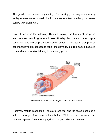The growth itself is very marginal if you're tracking your progress from day to day or even week to week. But in the span of a few months, your results can be truly significant.

How PE works is the following. Through training, the tissues of the penis are stretched, resulting in small tears. Notably this occurs to the corpus cavernosa and the corpus spongiosum tissues. These tears prompt your cell management processes to repair the damage, just like muscle tissue is repaired after a workout during the recovery phase.



 *The internal structures of the penis are pictured above.*

Recovery results in adaption. Tears are repaired, and the tissue becomes a little bit stronger (and larger) than before. With the next workout, the process repeats. Overtime, a physical change in size can be seen.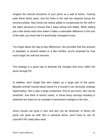Imagine the internal structures of your penis as a wall of bricks. Training pulls these bricks apart, and the kinks in the wall are repaired during the recovery phase. New bricks are slowly added to compensate for the shift in the wall's structure to ensure that it stays strong and stable. While adding just a few bricks each time doesn't make a noticeable difference in the size of the wall, you know that it's technically increased in size.

You forget about the day-to-day differences. But provided that this process is repeated, in several weeks or a few months, you're surprised by how much larger the wall has become.

This analogy is a great way to illustrate the changes that occur within the penis through PE.

In addition, don't forget that skin makes up a large part of the penis. Besides smooth muscle tissue (since it's a muscle it can obviously undergo hypertrophy), skin is also a large component. And as you know, skin can be stretched. Just think of stretch marks, or those fancy earrings resulting in stretched ear lobes for an example of permanent changes to the skin.

Since muscle can grow in size and skin can be stretched, in theory the penis can grow as well. But in practical terms, you'll have to see for yourself if PE really does work.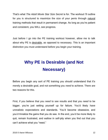That's what *The Adult Movie Star Size Secret* is for. The workout I'll outline for you is structured to maximize the size of your penis through natural training methods that result in permanent change. As long as you're patient and consistent, you WILL see progress.

Just before I go into the PE training workout however, allow me to talk about why PE is desirable, as opposed to necessary. This is an important distinction you must understand before you begin your training.

# **Why PE is Desirable (and Not Necessary)**

Before you begin any sort of PE training you should understand that it's merely a desirable goal, and not something you *need* to achieve. There are two reasons for this.

First, if you believe that you *need* to see results and that you *need* to be bigger, you're just setting yourself up for failure. You'd likely have unrealistic expectations and standards. You'd become obsessive, and you'd trivialize the gains that you do see. In the end, you'd be more likely to quit, remain frustrated, and wallow in self-pity when you find out that you can't achieve what you "need."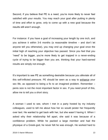Second, if you believe that PE is a need, you're more likely to never feel satisfied with your results. You may reach your goal after putting in plenty of time and effort to grow, only to come up with a new goal because the results still aren't enough.

For instance: if you have a goal of increasing your length by one inch, and you achieve it within 3-6 months (a reasonable timeline – and don't let anyone tell you otherwise), you may end up changing your goal once the initial high of reaching your objective has passed. Since you feel that you "need" to be bigger, you're more likely to get trapped in a never-ending cycle of trying to be bigger than you are, thinking that your hard-earned results are simply not enough.

It's important to see PE as something desirable because you alleviate all of this self-inflicted pressure. PE should be seen as a way to enhance your sex life, as opposed to being a fix to an imagined problem. Remember – penis size is not the most important factor in sex. If you need proof of this, allow me to tell you a short story.

A woman I used to see, whom I met in a party hosted by my industry colleagues, used to tell me about how her ex would pester her frequently over text. He wanted to get back with her, but she wasn't having it. When I asked why their relationship fell apart, she said it was because of a confidence problem. While he packed a large member and had the physique of a Greek-god, he never felt he was enough. He worked hard to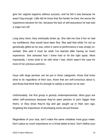give her vaginal orgasms without success, and he felt it was because he wasn't big enough. Little did he know that the harder he tried, the worse the experience became for her, because the lack of self-assurance he had was a major turn off.

Long story short, they eventually broke up. She told me how if her ex had my confidence, they would have been fine. She said that while I'm not as genetically gifted as he was, when it came to performance it was simply nocontest. She said it must be what I've learned after having so much experience. She stressed how I knew how to hit the right spots. More importantly, I knew what to do with what I had, which wasn't the case for most of her previous partners.

Guys with large penises can be put in three categories: those that know what to do regardless of their size, those that are self-conscious about it, and those that think that it's enough to satisfy a woman on its own.

Unfortunately, the first group is grossly underrepresented. Most guys are either self-conscious because they've seen penises in porn bigger than theirs; or they know they're big and get caught up in their own ego, forgetting the importance of developing some sexual finesse.

Regardless of your size, don't make the same mistakes most guys make. Don't place so much importance on a trivial detail at *best*. Don't define your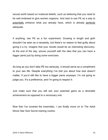sexual worth based on irrational beliefs, such as believing that you need to be well endowed to give women orgasms. And start to see PE as a way to potentially enhance what you already have, which is already perfectly adequate.

If anything, see PE as a fun experiment. Growing in length and girth shouldn't be seen as a necessity, but there's no reason to feel guilty about giving it a try. Imagine that your results would be an interesting discovery. At the end of the day, amuse yourself with the idea that you can have a bigger penis just by doing some exercises.

As long as you don't take PE too seriously, it should serve as a compliment to your sex life. Despite everything I've told you about how size doesn't matter, if you'd still like to have a bigger penis anyways, I'm not going to judge you. It's a preference, and I'm going to respect it.

Just make sure that you still see your potential gains as a desirable achievement as opposed to a necessary one.

Now that I've covered the essentials, I can finally move on to The Adult Movie Star Size Secret training routine.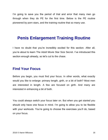I'm going to save you the period of trial and error that many men go through when they do PE for the first time. Below is the PE routine pioneered by porn stars, and the training routine that so many use.

# **Penis Enlargement Training Routine**

I have no doubt that you're incredibly excited for this section. After all, you're about to learn The Adult Movie Star Size Secret. I've introduced this section enough already, so let's cut to the chase.

## **Find Your Focus**

Before you begin, you must find your focus. In other words, what exactly would you like to enlarge: primary length, girth, or a bit of both? Most men are interested in length. A few are focused on girth. And many are interested in enhancing a bit of both.

You could always switch your focus later on. But when you get started you should only have one focus in mind. I'm going to allow you to be flexible with your workouts. You're going to choose the exercises you'll do, based on your focus.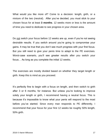What would you like more of? Come to a decision: length, girth, or a mixture of the two (neutral). After you've decided, you must stick to your chosen focus for at least **3 months**. 12 weeks more or less is the amount of time you need to dedicate to see progress in your chosen area.

Do not switch your focus before 12 weeks are up, even if you're not seeing desirable results. If you switch around you're going to compromise your gains. It may be true that you don't see much progress with your first focus. But you still need to give your penis time to adapt to the PE exercises. Worst-case scenario, you'll see greater results after you switch your focus… As long as you complete the initial 12 weeks.

The exercises are mostly divided based on whether they target length or girth. Keep this is mind as you proceed.

It's perfectly fine to begin with a focus on length, and then switch to girth after 3 or 6 months, for instance. But unless you're looking to improve solely your length or girth, I recommend having a neutral focus. This is because it's impossible to know what your penis will respond to the most before you've started. Since every man responds to PE differently, I recommend that your focus for your first 12 weeks be roughly 50% length, 50% girth.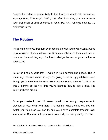Despite the balance, you're likely to find that your results will be skewed anyways (say, 80% length, 20% girth). After 3 months, you can increase your proportion of girth exercises if you'd like. Or… Change nothing. It's entirely up to you.

## **The Routine**

I'm going to give you freedom over coming up with your own routine, based on what you've chosen to focus on. Besides emphasizing the importance of one exercise – milking – you're free to design the rest of your routine as you see fit.

As far as I see it, your first 12 weeks is your conditioning period. This is where my influence comes in  $-$  you're going to follow my quidelines, even though you'll have freedom over how to structure your routine. Think of the first 3 months as the first time you're learning how to ride a bike. The training wheels are on.

Once you make it past 12 weeks, you'll have enough experience to proceed on your own from there. The training wheels come off. You can switch your focus as you see fit, and you'll have complete freedom over your routine. Come up with your own rules and your own plan if you'd like.

For the first 12 weeks however, here are the guidelines: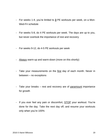- For weeks 1-4, you're limited to **3** PE workouts per week, on a Mon-Wed-Fri schedule
- For weeks 5-8, do 4 PE workouts per week. The days are up to you, but never overlook the importance of rest and recovery
- For weeks 9-12, do 4-5 PE workouts per week
- Always warm-up and warm-down (more on this shortly)
- Take your measurements on the first day of each month. Never in between – no exceptions
- Take your breaks rest and recovery are of paramount importance for growth
- If you ever feel any pain or discomfort, STOP your workout. You're done for the day. Take the next day off, and resume your workouts only when you're 100%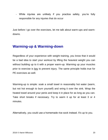- While injuries are unlikely if you practice safety, you're fully responsible for any injuries that do occur

Just before I go over the exercises, let me talk about warm-ups and warmdowns.

## **Warming-up & Warming-down**

Regardless of your experience with weight training, you know that it would be a bad idea to start your workout by lifting the heaviest weight you can without building up to it with a proper warm-up. Warming up your muscles prior to exercise is key to prevent injury. The same principle holds true for PE exercises as well.

Warming-up is simple: soak a small towel in reasonably hot water (warm, but not hot enough to burn yourself) and wring it over the sink. Wrap the heated towel around your penis and keep it in place for as long as you can. Take short breaks if necessary. Try to warm it up for at least 3 or 4 minutes.

Alternatively, you could use a homemade rice sock instead. It's up to you.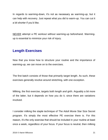In regards to warming-down, it's not as necessary as warming-up, but it can help with recovery. Just repeat what you did to warm-up. You can cut it a bit shorter if you'd like.

NEVER attempt a PE workout without warming-up beforehand. Warmingup is essential to minimize your risk of injury.

## **Length Exercises**

Now that you know how to structure your routine and the importance of warming-up, we can move on to the exercises.

The first batch consists of those that primarily target length. As such, these exercises generally revolve around stretching, with one exception.

Milking, the first exercise, targets both length *and* girth. Arguably a bit more of the latter, but it depends on how you do it, since there are variations involved.

I consider milking the staple technique of The Adult Movie Star Size Secret program. It's simply the most effective PE exercise there is. For this reason, it's the only exercise that should be included in your routine at least once a week, *regardless* of your focus. If your focus is neutral, then milking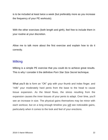is to be included at least twice a week (but preferably more as you increase the frequency of your PE workouts).

With the other exercises (both length and girth), feel free to include them in your routine at your discretion.

Allow me to talk more about the first exercise and explain how to do it correctly.

#### Milking

Milking is a simple PE exercise that you could do to achieve great results. This is why I consider it the definitive *Porn Star Size Secret* technique.

What you'll do is form an "OK" grip with your thumb and index finger, and "milk" your moderately hard penis from the base to the head to cause tissue expansion. As the blood flows, the stress resulting from the expansion causes the inner tissues of your penis to adapt. Over time, you'll see an increase in size. The physical gains themselves may be minor with each workout, but on a long enough timeline you will see noticeable gains, particularly when it comes to the look and feel of your erections.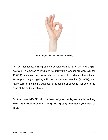

 *This is the grip you should use for milking.*

As I've mentioned, milking can be considered both a length and a girth exercise. To emphasize length gains, milk with a weaker erection (aim for 40-60%), and make sure to stretch your penis at the end of each repetition. To emphasize girth gains, milk with a stronger erection (70-90%), and make sure to maintain a squeeze for a couple of seconds just before the head at the end of each rep.

**On that note, NEVER milk the head of your penis, and avoid milking with a full 100% erection. Doing both greatly increases your risk of injury.**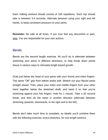Each milking workout should consist of 100 repetitions. Each rep should take in between 3-4 seconds. Alternate between using your right and left hands, to keep consistent pressure on your penis.

**Reminder:** Be safe at all times. If you ever feel any discomfort or pain, stop. You are responsible for your own actions.

#### **Bends**

Bends are the second length exercise. All you'll do is alternate between stretching your penis in different directions, to help break down penile tissue in various ways to stimulate length-based growth.

Grab just below the head of your penis with your thumb and index fingers. The same "OK" grip from before works well. Stretch out your flaccid penis straight ahead. Then, place your index and middle fingers from your other hand together below the stretched shaft, and bend it so that you're stretching against your two fingers. Hold for 1 minute. Take a 30 second break, and then do the same in another direction (alternate between stretching upwards, downwards, to the right and to the left).

Bends don't take much time to complete, so ideally you'll combine them with the following exercise, tunica stretches, for one length workout.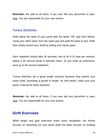**Reminder:** Be safe at all times. If you ever feel any discomfort or pain, stop. You are responsible for your own actions.

#### Tunica Stretches

Grab below the head of your penis with the same "OK" grip from before. Using your other hand, form the same grip and grab the base of your shaft. Now simply stretch your shaft by pulling your hands apart.

Each repetition should take 30 seconds. Aim to do 6-10 reps per workout, taking a 30 second break in between them. As you build up endurance, work up to 60-second repetitions.

Tunica stretches are a great length exercise because they stretch your entire shaft, promoting a growth in length. As with bends, make sure your penis is flaccid for these stretches.

**Reminder:** Be safe at all times. If you ever feel any discomfort or pain, stop. You are responsible for your own actions.

## **Girth Exercises**

While length and girth exercises share some similarities, the former focuses on stretching out your penis while the latter focuses on building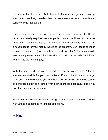pressure within the tissues. Both types of stimuli work together to enlarge your penis overtime, provided that the exercises are done correctly and consistency is maintained.

Girth exercises can be considered a more advanced form of PE. This is because it usually requires that your penis is more conditioned to make the most of them and avoid injury. This is yet another reason why I recommend a neutral focus for your first 12 weeks of the program. Don't focus so much on girth to begin with (even length-based milking is fine). The second girth exercise, squeezes, should be done after your penis is properly conditioned to minimize the risk of injury.

With that said, I still give you full freedom to design your routine. After all, you are responsible for your own actions. If you'd like to primarily target girth, don't let me dissuade you from doing so. Just make sure to be careful and practice safety at all times. With girth exercises especially, stop if you ever feel any pain or discomfort.

While I've already talked about milking, let me share a few more details with you as it pertains to milking for girth gains.

#### Milking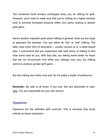The movement itself remains unchanged when you do milking for girth. However, you'll want to make sure that you're milking at a higher erection level to promote increased pressure within your penis, leading to greater girth gains.

Here's another important point about milking in general: there are two ways to approach the exercise. You can either do "dry" or "wet" milking. The latter uses some form of lubrication – usually coconut oil or a water-based lube. I recommend that you experiment with both forms of milking to find what works best for you. With that said, dry milking works better for those that are not circumcised. And while your mileage may vary, dry milking seems to produce greater girth gains.

But wet milking also works very well. So it's solely a matter of preference.

**Reminder:** Be safe at all times. If you ever feel any discomfort or pain, stop. You are responsible for your own actions.

#### **Squeezes**

Squeezes are the definitive girth exercise. This is because they focus entirely on tissue expansion.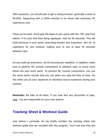With squeezes, you should aim to get a strong erection, generally a level of 80-90%. Squeezing with a 100% erection is for those with extensive PE experience only.

Once you're erect, *firmly* grip the base of your penis with the "OK" grip from before. If it's your first time doing squeezes, hold for 30 seconds. This will build pressure in your penis, promoting tension and expansion. Aim for 10 repetitions for one workout, making sure to rest at least 30 seconds between reps.

As you build up endurance, do 60 seconds per repetition. In addition, make sure to perform BC muscle contractions in between reps, to pump more blood into your erect penis. To perform BC muscle contractions, you use the same pelvic muscle that you use when you stop the flow of urine. Do this while you do your squeezes to maximize tissue expansion during your workout.

**Reminder:** Be safe at all times. If you ever feel any discomfort or pain, stop. You are responsible for your own actions.

### **Tracking Sheet & Workout Guide**

Just before I conclude, let me briefly mention the tracking sheet and workout guide that are included with this program. You'll see that they are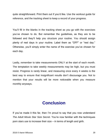quite straightforward. Print them out if you'd like. Use the workout guide for reference, and the tracking sheet to keep a record of your progress.

You'll fill in the blanks in the tracking sheet as you go with the exercises you've chosen to do. But remember the guidelines, as they are to be followed and they'll help you structure your routine. You should assign plenty of rest days in your routine. Label them as "OFF" or "rest day." Otherwise, you'll simply enter the name of the exercise you've chosen for each day.

Lastly, remember to take measurements ONLY at the start of each month. The temptation to take weekly measurements may be high, but you must resist. Progress is rarely linear, and measuring once every 4 weeks is the best way to ensure that insignificant results don't discourage you. Not to mention that your results will be more noticeable when you measure monthly anyways.

# **Conclusion**

If you've made it this far, then I'm proud to say that you now understand *The Adult Movie Star Size Secret.* You're now familiar with the techniques porn stars use to increase their size – in terms of length *and* girth.